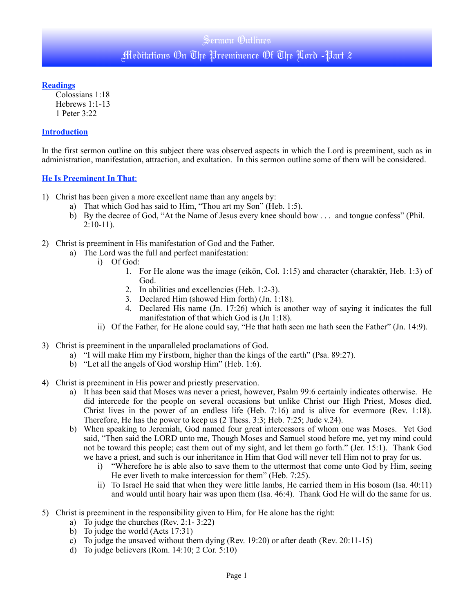**Readings**

Colossians 1:18 Hebrews 1:1-13 1 Peter 3:22

## **Introduction**

In the first sermon outline on this subject there was observed aspects in which the Lord is preeminent, such as in administration, manifestation, attraction, and exaltation. In this sermon outline some of them will be considered.

## **He Is Preeminent In That**:

- 1) Christ has been given a more excellent name than any angels by:
	- a) That which God has said to Him, "Thou art my Son" (Heb. 1:5).
	- b) By the decree of God, "At the Name of Jesus every knee should bow . . . and tongue confess" (Phil. 2:10-11).
- 2) Christ is preeminent in His manifestation of God and the Father.
	- a) The Lord was the full and perfect manifestation:
		- i) Of God:
			- 1. For He alone was the image (eikōn, Col. 1:15) and character (charaktēr, Heb. 1:3) of God.
			- 2. In abilities and excellencies (Heb. 1:2-3).
			- 3. Declared Him (showed Him forth) (Jn. 1:18).
			- 4. Declared His name (Jn. 17:26) which is another way of saying it indicates the full manifestation of that which God is (Jn 1:18).
		- ii) Of the Father, for He alone could say, "He that hath seen me hath seen the Father" (Jn. 14:9).
- 3) Christ is preeminent in the unparalleled proclamations of God.
	- a) "I will make Him my Firstborn, higher than the kings of the earth" (Psa. 89:27).
	- b) "Let all the angels of God worship Him" (Heb. 1:6).
- 4) Christ is preeminent in His power and priestly preservation.
	- a) It has been said that Moses was never a priest, however, Psalm 99:6 certainly indicates otherwise. He did intercede for the people on several occasions but unlike Christ our High Priest, Moses died. Christ lives in the power of an endless life (Heb. 7:16) and is alive for evermore (Rev. 1:18). Therefore, He has the power to keep us (2 Thess. 3:3; Heb. 7:25; Jude v.24).
	- b) When speaking to Jeremiah, God named four great intercessors of whom one was Moses. Yet God said, "Then said the LORD unto me, Though Moses and Samuel stood before me, yet my mind could not be toward this people; cast them out of my sight, and let them go forth." (Jer. 15:1). Thank God we have a priest, and such is our inheritance in Him that God will never tell Him not to pray for us.
		- i) "Wherefore he is able also to save them to the uttermost that come unto God by Him, seeing He ever liveth to make intercession for them" (Heb. 7:25).
		- ii) To Israel He said that when they were little lambs, He carried them in His bosom (Isa. 40:11) and would until hoary hair was upon them (Isa. 46:4). Thank God He will do the same for us.
- 5) Christ is preeminent in the responsibility given to Him, for He alone has the right:
	- a) To judge the churches (Rev. 2:1- 3:22)
	- b) To judge the world (Acts 17:31)
	- c) To judge the unsaved without them dying (Rev. 19:20) or after death (Rev. 20:11-15)
	- d) To judge believers (Rom. 14:10; 2 Cor. 5:10)